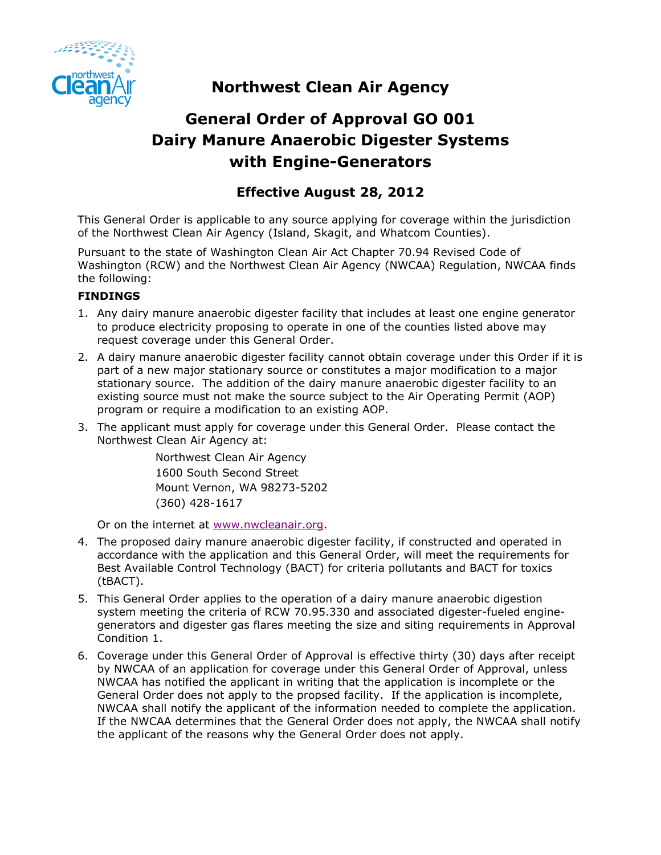

# **Northwest Clean Air Agency**

# **General Order of Approval GO 001 Dairy Manure Anaerobic Digester Systems with Engine-Generators**

# **Effective August 28, 2012**

This General Order is applicable to any source applying for coverage within the jurisdiction of the Northwest Clean Air Agency (Island, Skagit, and Whatcom Counties).

Pursuant to the state of Washington Clean Air Act Chapter 70.94 Revised Code of Washington (RCW) and the Northwest Clean Air Agency (NWCAA) Regulation, NWCAA finds the following:

# **FINDINGS**

- 1. Any dairy manure anaerobic digester facility that includes at least one engine generator to produce electricity proposing to operate in one of the counties listed above may request coverage under this General Order.
- 2. A dairy manure anaerobic digester facility cannot obtain coverage under this Order if it is part of a new major stationary source or constitutes a major modification to a major stationary source. The addition of the dairy manure anaerobic digester facility to an existing source must not make the source subject to the Air Operating Permit (AOP) program or require a modification to an existing AOP.
- 3. The applicant must apply for coverage under this General Order. Please contact the Northwest Clean Air Agency at:

Northwest Clean Air Agency 1600 South Second Street Mount Vernon, WA 98273-5202 (360) 428-1617

Or on the internet at [www.nwcleanair.org.](http://www.nwcleanair.org/)

- 4. The proposed dairy manure anaerobic digester facility, if constructed and operated in accordance with the application and this General Order, will meet the requirements for Best Available Control Technology (BACT) for criteria pollutants and BACT for toxics (tBACT).
- 5. This General Order applies to the operation of a dairy manure anaerobic digestion system meeting the criteria of RCW 70.95.330 and associated digester-fueled enginegenerators and digester gas flares meeting the size and siting requirements in Approval Condition 1.
- 6. Coverage under this General Order of Approval is effective thirty (30) days after receipt by NWCAA of an application for coverage under this General Order of Approval, unless NWCAA has notified the applicant in writing that the application is incomplete or the General Order does not apply to the propsed facility. If the application is incomplete, NWCAA shall notify the applicant of the information needed to complete the application. If the NWCAA determines that the General Order does not apply, the NWCAA shall notify the applicant of the reasons why the General Order does not apply.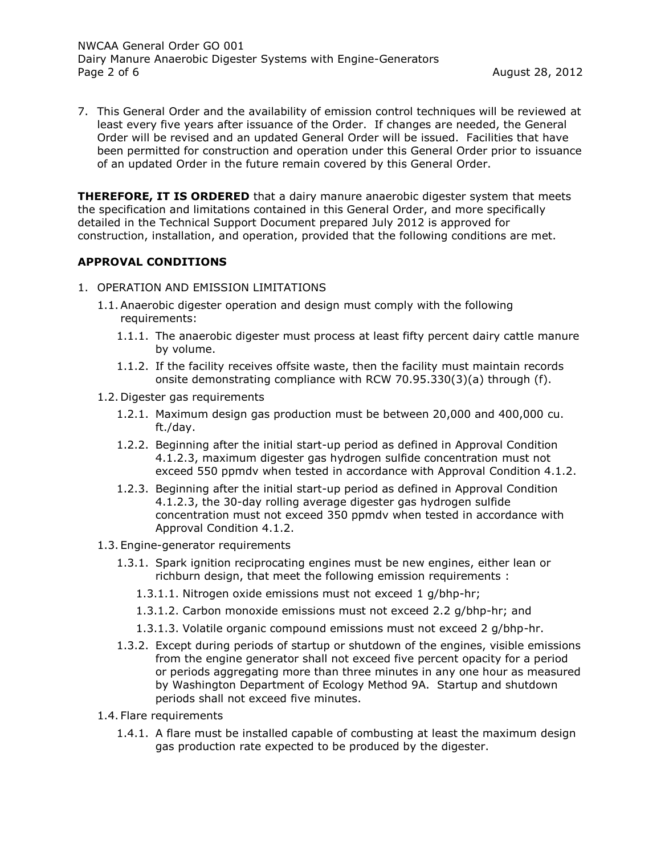NWCAA General Order GO 001 Dairy Manure Anaerobic Digester Systems with Engine-Generators Page 2 of 6 **August 28, 2012 August 28, 2012** 

7. This General Order and the availability of emission control techniques will be reviewed at least every five years after issuance of the Order. If changes are needed, the General Order will be revised and an updated General Order will be issued. Facilities that have been permitted for construction and operation under this General Order prior to issuance of an updated Order in the future remain covered by this General Order.

**THEREFORE, IT IS ORDERED** that a dairy manure anaerobic digester system that meets the specification and limitations contained in this General Order, and more specifically detailed in the Technical Support Document prepared July 2012 is approved for construction, installation, and operation, provided that the following conditions are met.

#### **APPROVAL CONDITIONS**

- 1. OPERATION AND EMISSION LIMITATIONS
	- 1.1.Anaerobic digester operation and design must comply with the following requirements:
		- 1.1.1. The anaerobic digester must process at least fifty percent dairy cattle manure by volume.
		- 1.1.2. If the facility receives offsite waste, then the facility must maintain records onsite demonstrating compliance with RCW 70.95.330(3)(a) through (f).
	- 1.2. Digester gas requirements
		- 1.2.1. Maximum design gas production must be between 20,000 and 400,000 cu. ft./day.
		- 1.2.2. Beginning after the initial start-up period as defined in Approval Condition 4.1.2.3, maximum digester gas hydrogen sulfide concentration must not exceed 550 ppmdv when tested in accordance with Approval Condition 4.1.2.
		- 1.2.3. Beginning after the initial start-up period as defined in Approval Condition 4.1.2.3, the 30-day rolling average digester gas hydrogen sulfide concentration must not exceed 350 ppmdv when tested in accordance with Approval Condition 4.1.2.
	- 1.3. Engine-generator requirements
		- 1.3.1. Spark ignition reciprocating engines must be new engines, either lean or richburn design, that meet the following emission requirements :
			- 1.3.1.1. Nitrogen oxide emissions must not exceed 1 g/bhp-hr;
			- 1.3.1.2. Carbon monoxide emissions must not exceed 2.2 g/bhp-hr; and
			- 1.3.1.3. Volatile organic compound emissions must not exceed 2 g/bhp-hr.
		- 1.3.2. Except during periods of startup or shutdown of the engines, visible emissions from the engine generator shall not exceed five percent opacity for a period or periods aggregating more than three minutes in any one hour as measured by Washington Department of Ecology Method 9A. Startup and shutdown periods shall not exceed five minutes.
	- 1.4. Flare requirements
		- 1.4.1. A flare must be installed capable of combusting at least the maximum design gas production rate expected to be produced by the digester.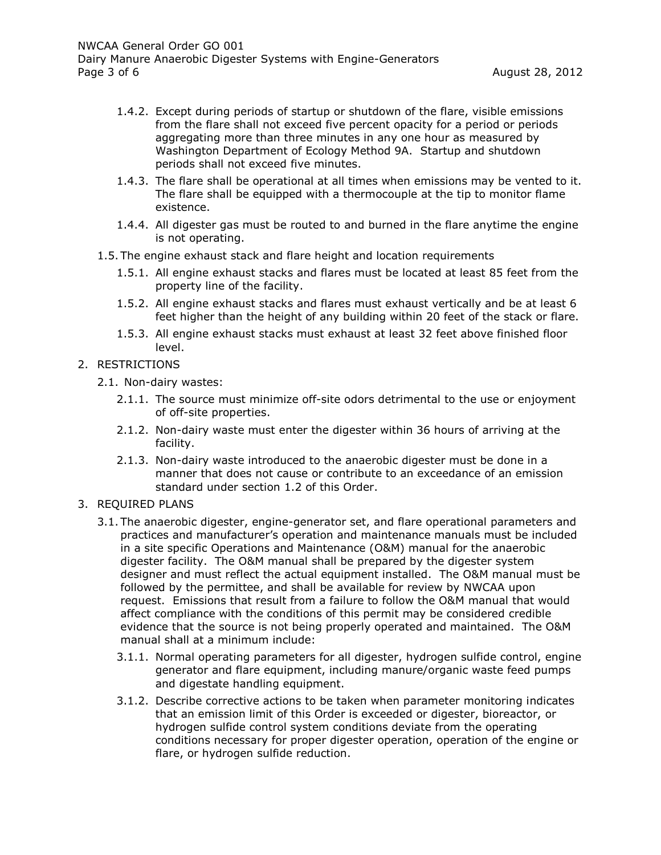- 1.4.2. Except during periods of startup or shutdown of the flare, visible emissions from the flare shall not exceed five percent opacity for a period or periods aggregating more than three minutes in any one hour as measured by Washington Department of Ecology Method 9A. Startup and shutdown periods shall not exceed five minutes.
- 1.4.3. The flare shall be operational at all times when emissions may be vented to it. The flare shall be equipped with a thermocouple at the tip to monitor flame existence.
- 1.4.4. All digester gas must be routed to and burned in the flare anytime the engine is not operating.
- 1.5. The engine exhaust stack and flare height and location requirements
	- 1.5.1. All engine exhaust stacks and flares must be located at least 85 feet from the property line of the facility.
	- 1.5.2. All engine exhaust stacks and flares must exhaust vertically and be at least 6 feet higher than the height of any building within 20 feet of the stack or flare.
	- 1.5.3. All engine exhaust stacks must exhaust at least 32 feet above finished floor level.
- 2. RESTRICTIONS
	- 2.1. Non-dairy wastes:
		- 2.1.1. The source must minimize off-site odors detrimental to the use or enjoyment of off-site properties.
		- 2.1.2. Non-dairy waste must enter the digester within 36 hours of arriving at the facility.
		- 2.1.3. Non-dairy waste introduced to the anaerobic digester must be done in a manner that does not cause or contribute to an exceedance of an emission standard under section 1.2 of this Order.
- 3. REQUIRED PLANS
	- 3.1. The anaerobic digester, engine-generator set, and flare operational parameters and practices and manufacturer's operation and maintenance manuals must be included in a site specific Operations and Maintenance (O&M) manual for the anaerobic digester facility. The O&M manual shall be prepared by the digester system designer and must reflect the actual equipment installed. The O&M manual must be followed by the permittee, and shall be available for review by NWCAA upon request. Emissions that result from a failure to follow the O&M manual that would affect compliance with the conditions of this permit may be considered credible evidence that the source is not being properly operated and maintained. The O&M manual shall at a minimum include:
		- 3.1.1. Normal operating parameters for all digester, hydrogen sulfide control, engine generator and flare equipment, including manure/organic waste feed pumps and digestate handling equipment.
		- 3.1.2. Describe corrective actions to be taken when parameter monitoring indicates that an emission limit of this Order is exceeded or digester, bioreactor, or hydrogen sulfide control system conditions deviate from the operating conditions necessary for proper digester operation, operation of the engine or flare, or hydrogen sulfide reduction.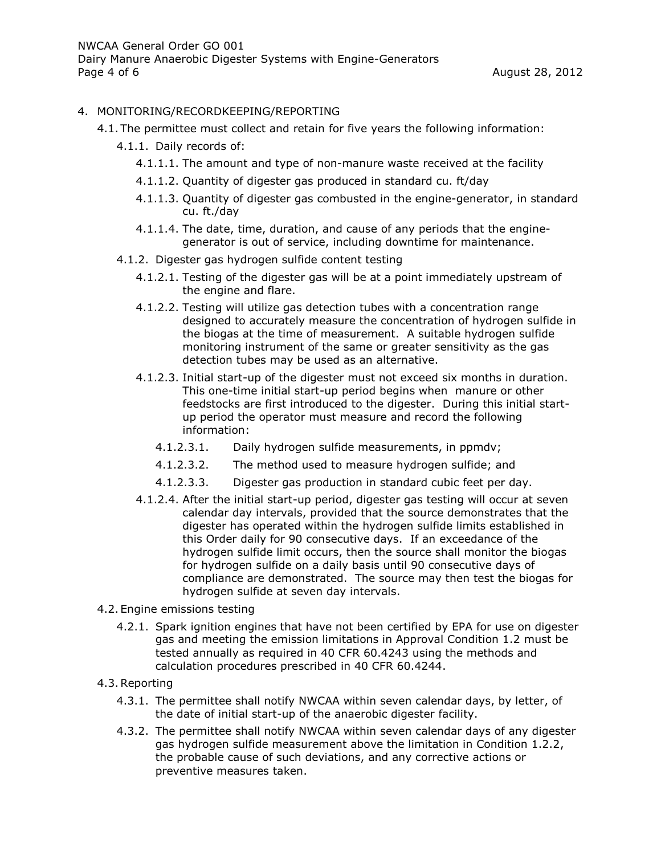### 4. MONITORING/RECORDKEEPING/REPORTING

- 4.1. The permittee must collect and retain for five years the following information:
	- 4.1.1. Daily records of:
		- 4.1.1.1. The amount and type of non-manure waste received at the facility
		- 4.1.1.2. Quantity of digester gas produced in standard cu. ft/day
		- 4.1.1.3. Quantity of digester gas combusted in the engine-generator, in standard cu. ft./day
		- 4.1.1.4. The date, time, duration, and cause of any periods that the enginegenerator is out of service, including downtime for maintenance.
	- 4.1.2. Digester gas hydrogen sulfide content testing
		- 4.1.2.1. Testing of the digester gas will be at a point immediately upstream of the engine and flare.
		- 4.1.2.2. Testing will utilize gas detection tubes with a concentration range designed to accurately measure the concentration of hydrogen sulfide in the biogas at the time of measurement. A suitable hydrogen sulfide monitoring instrument of the same or greater sensitivity as the gas detection tubes may be used as an alternative.
		- 4.1.2.3. Initial start-up of the digester must not exceed six months in duration. This one-time initial start-up period begins when manure or other feedstocks are first introduced to the digester. During this initial startup period the operator must measure and record the following information:
			- 4.1.2.3.1. Daily hydrogen sulfide measurements, in ppmdv;
			- 4.1.2.3.2. The method used to measure hydrogen sulfide; and
			- 4.1.2.3.3. Digester gas production in standard cubic feet per day.
		- 4.1.2.4. After the initial start-up period, digester gas testing will occur at seven calendar day intervals, provided that the source demonstrates that the digester has operated within the hydrogen sulfide limits established in this Order daily for 90 consecutive days. If an exceedance of the hydrogen sulfide limit occurs, then the source shall monitor the biogas for hydrogen sulfide on a daily basis until 90 consecutive days of compliance are demonstrated. The source may then test the biogas for hydrogen sulfide at seven day intervals.
- 4.2. Engine emissions testing
	- 4.2.1. Spark ignition engines that have not been certified by EPA for use on digester gas and meeting the emission limitations in Approval Condition 1.2 must be tested annually as required in 40 CFR 60.4243 using the methods and calculation procedures prescribed in 40 CFR 60.4244.
- 4.3.Reporting
	- 4.3.1. The permittee shall notify NWCAA within seven calendar days, by letter, of the date of initial start-up of the anaerobic digester facility.
	- 4.3.2. The permittee shall notify NWCAA within seven calendar days of any digester gas hydrogen sulfide measurement above the limitation in Condition 1.2.2, the probable cause of such deviations, and any corrective actions or preventive measures taken.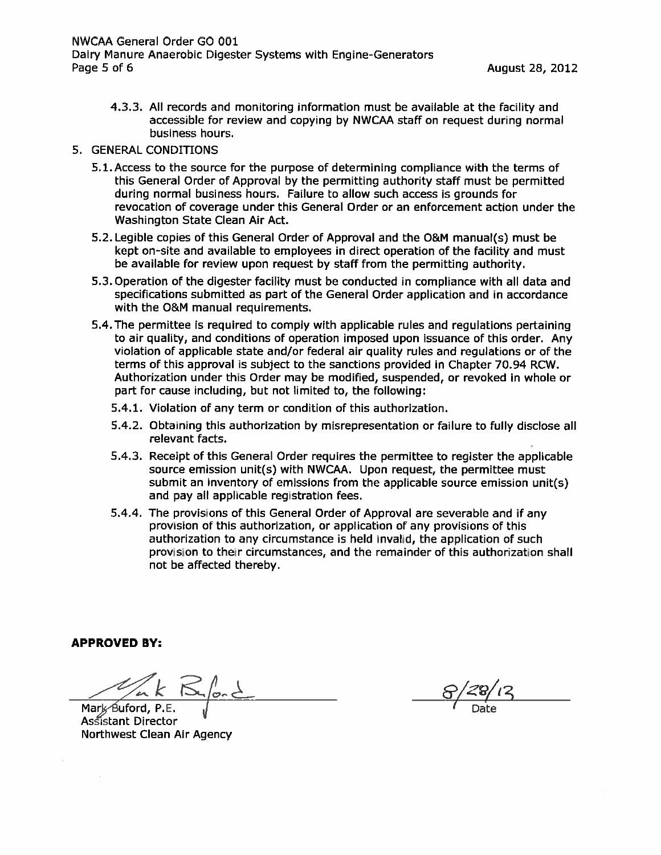4.3.3. All records and monitoring information must be available at the facility and accessible for review and copying by NWCAA staff on request during normal business hours.

#### 5. GENERAL CONDITIONS

- 5.1. Access to the source for the purpose of determining compliance with the terms of this General Order of Approval by the permitting authority staff must be permitted during normal business hours. Failure to allow such access is grounds for revocation of coverage under this General Order or an enforcement action under the Washington State Clean Air Act.
- 5.2. Legible copies of this General Order of Approval and the O&M manual(s) must be kept on-site and available to employees in direct operation of the facility and must be available for review upon request by staff from the permitting authority.
- 5.3. Operation of the digester facility must be conducted in compliance with all data and specifications submitted as part of the General Order application and in accordance with the O&M manual requirements.
- 5.4. The permittee is required to comply with applicable rules and regulations pertaining to air quality, and conditions of operation imposed upon issuance of this order. Any violation of applicable state and/or federal air quality rules and regulations or of the terms of this approval is subject to the sanctions provided in Chapter 70.94 RCW. Authorization under this Order may be modified, suspended, or revoked in whole or part for cause including, but not limited to, the following:
	- 5.4.1. Violation of any term or condition of this authorization.
	- 5.4.2. Obtaining this authorization by misrepresentation or failure to fully disclose all relevant facts.
	- 5.4.3. Receipt of this General Order requires the permittee to register the applicable source emission unit(s) with NWCAA. Upon request, the permittee must submit an inventory of emissions from the applicable source emission unit(s) and pay all applicable registration fees.
	- 5.4.4. The provisions of this General Order of Approval are severable and if any provision of this authorization, or application of any provisions of this authorization to any circumstance is held invalid, the application of such provision to their circumstances, and the remainder of this authorization shall not be affected thereby.

**APPROVED BY:** 

Mark Buford, P.E. Assistant Director Northwest Clean Air Agency